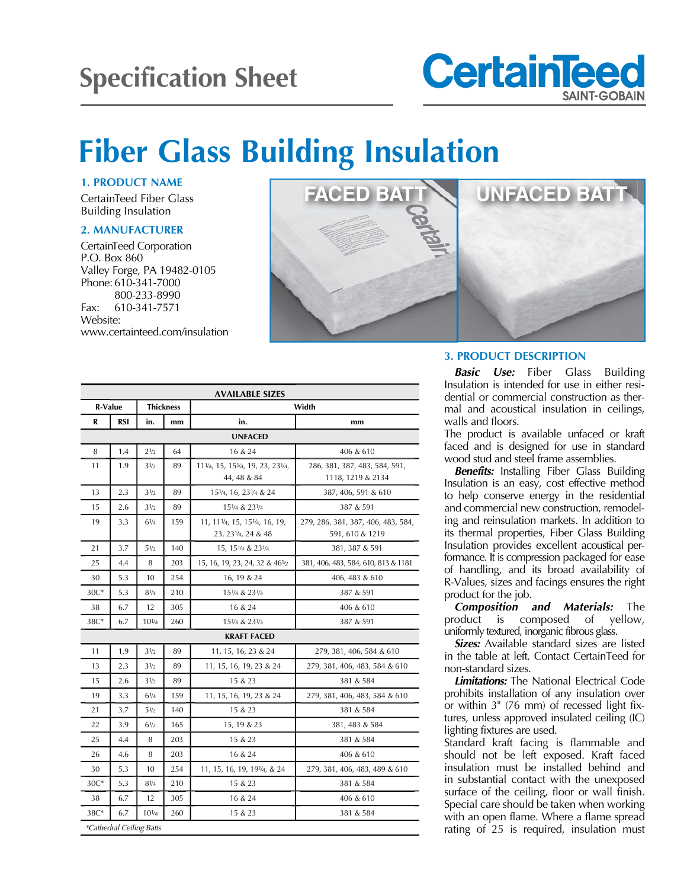## **Specification Sheet**



# **Fiber Glass Building Insulation**

**1. PRODUCT NAME**

CertainTeed Fiber Glass Building Insulation

#### **2. MANUFACTURER**

CertainTeed Corporation P.O. Box 860 Valley Forge, PA 19482-0105 Phone: 610-341-7000 800-233-8990 Fax: 610-341-7571 Website: www.certainteed.com/insulation



| <b>AVAILABLE SIZES</b>          |     |                  |     |                                                     |                                                       |
|---------------------------------|-----|------------------|-----|-----------------------------------------------------|-------------------------------------------------------|
| R-Value                         |     | <b>Thickness</b> |     | Width                                               |                                                       |
| R                               | RSI | in.              | mm  | in.                                                 | mm                                                    |
| <b>UNFACED</b>                  |     |                  |     |                                                     |                                                       |
| 8                               | 1.4 | 21/2             | 64  | 16 & 24                                             | 406 & 610                                             |
| 11                              | 1.9 | $3\frac{1}{2}$   | 89  | 111/4, 15, 151/4, 19, 23, 231/4,<br>44, 48 & 84     | 286, 381, 387, 483, 584, 591,<br>1118, 1219 & 2134    |
| 13                              | 2.3 | 31/2             | 89  | 151/4, 16, 231/4 & 24                               | 387, 406, 591 & 610                                   |
| 15                              | 2.6 | 31/2             | 89  | 151/4 & 231/4                                       | 387 & 591                                             |
| 19                              | 3.3 | $6^{1/4}$        | 159 | 11, 111/4, 15, 151/4, 16, 19,<br>23, 231/4, 24 & 48 | 279, 286, 381, 387, 406, 483, 584,<br>591, 610 & 1219 |
| 21                              | 3.7 | $5\frac{1}{2}$   | 140 | 15, 151/4 & 231/4                                   | 381, 387 & 591                                        |
| 25                              | 4.4 | 8                | 203 | 15, 16, 19, 23, 24, 32 & 461/2                      | 381, 406, 483, 584, 610, 813 & 1181                   |
| 30                              | 5.3 | 10               | 254 | 16, 19 & 24                                         | 406, 483 & 610                                        |
| $30C*$                          | 5.3 | $8^{1/4}$        | 210 | 151/4 & 231/4                                       | 387 & 591                                             |
| 38                              | 6.7 | 12               | 305 | 16 & 24                                             | 406 & 610                                             |
| 38C*                            | 6.7 | $10^{1/4}$       | 260 | 151/4 & 231/4                                       | 387 & 591                                             |
| <b>KRAFT FACED</b>              |     |                  |     |                                                     |                                                       |
| 11                              | 1.9 | 31/2             | 89  | 11, 15, 16, 23 & 24                                 | 279, 381, 406, 584 & 610                              |
| 13                              | 2.3 | 31/2             | 89  | 11, 15, 16, 19, 23 & 24                             | 279, 381, 406, 483, 584 & 610                         |
| 15                              | 2.6 | 31/2             | 89  | 15 & 23                                             | 381 & 584                                             |
| 19                              | 3.3 | $6^{1/4}$        | 159 | 11, 15, 16, 19, 23 & 24                             | 279, 381, 406, 483, 584 & 610                         |
| 21                              | 3.7 | $5\frac{1}{2}$   | 140 | 15 & 23                                             | 381 & 584                                             |
| 22                              | 3.9 | $6\frac{1}{2}$   | 165 | 15, 19 & 23                                         | 381, 483 & 584                                        |
| 25                              | 4.4 | 8                | 203 | 15 & 23                                             | 381 & 584                                             |
| 26                              | 4.6 | 8                | 203 | 16 & 24                                             | 406 & 610                                             |
| 30                              | 5.3 | 10               | 254 | 11, 15, 16, 19, 191/4, & 24                         | 279, 381, 406, 483, 489 & 610                         |
| $30C*$                          | 5.3 | $8^{1/4}$        | 210 | 15 & 23                                             | 381 & 584                                             |
| 38                              | 6.7 | 12               | 305 | 16 & 24                                             | 406 & 610                                             |
| $38C*$                          | 6.7 | $10^{1/4}$       | 260 | 15 & 23                                             | 381 & 584                                             |
| <i>*Cathedral Ceiling Batts</i> |     |                  |     |                                                     |                                                       |

#### **3. PRODUCT DESCRIPTION**

*Basic Use:* Fiber Glass Building Insulation is intended for use in either residential or commercial construction as thermal and acoustical insulation in ceilings, walls and floors.

The product is available unfaced or kraft faced and is designed for use in standard wood stud and steel frame assemblies.

*Benefits:* Installing Fiber Glass Building Insulation is an easy, cost effective method to help conserve energy in the residential and commercial new construction, remodeling and reinsulation markets. In addition to its thermal properties, Fiber Glass Building Insulation provides excellent acoustical performance. It is compression packaged for ease of handling, and its broad availability of R-Values, sizes and facings ensures the right product for the job.

*Composition and Materials:* The product is composed of yellow, uniformly textured, inorganic fibrous glass.

*Sizes:* Available standard sizes are listed in the table at left. Contact CertainTeed for non-standard sizes.

*Limitations:* The National Electrical Code prohibits installation of any insulation over or within 3" (76 mm) of recessed light fixtures, unless approved insulated ceiling (IC) lighting fixtures are used.

Standard kraft facing is flammable and should not be left exposed. Kraft faced insulation must be installed behind and in substantial contact with the unexposed surface of the ceiling, floor or wall finish. Special care should be taken when working with an open flame. Where a flame spread rating of 25 is required, insulation must